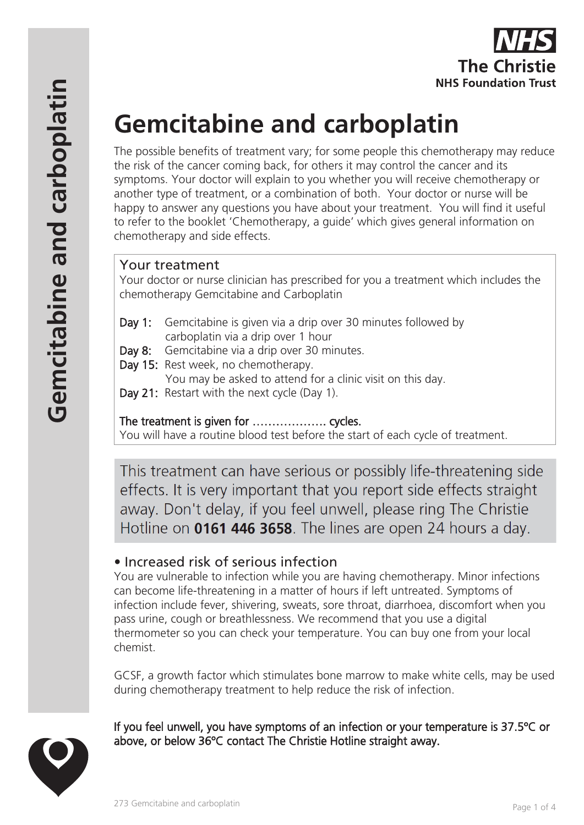

# **Gemcitabine and carboplatin**

The possible benefits of treatment vary; for some people this chemotherapy may reduce the risk of the cancer coming back, for others it may control the cancer and its symptoms. Your doctor will explain to you whether you will receive chemotherapy or another type of treatment, or a combination of both. Your doctor or nurse will be happy to answer any questions you have about your treatment. You will find it useful to refer to the booklet 'Chemotherapy, a guide' which gives general information on chemotherapy and side effects.

## Your treatment

Your doctor or nurse clinician has prescribed for you a treatment which includes the chemotherapy Gemcitabine and Carboplatin

- Day 1: Gemcitabine is given via a drip over 30 minutes followed by carboplatin via a drip over 1 hour
- Day 8: Gemcitabine via a drip over 30 minutes.
- Day 15: Rest week, no chemotherapy.

You may be asked to attend for a clinic visit on this day.

Day 21: Restart with the next cycle (Day 1).

#### The treatment is given for ………………. cycles.

You will have a routine blood test before the start of each cycle of treatment.

This treatment can have serious or possibly life-threatening side effects. It is very important that you report side effects straight away. Don't delay, if you feel unwell, please ring The Christie Hotline on 0161 446 3658. The lines are open 24 hours a day.

## • Increased risk of serious infection

You are vulnerable to infection while you are having chemotherapy. Minor infections can become life-threatening in a matter of hours if left untreated. Symptoms of infection include fever, shivering, sweats, sore throat, diarrhoea, discomfort when you pass urine, cough or breathlessness. We recommend that you use a digital thermometer so you can check your temperature. You can buy one from your local chemist.

GCSF, a growth factor which stimulates bone marrow to make white cells, may be used during chemotherapy treatment to help reduce the risk of infection.

If you feel unwell, you have symptoms of an infection or your temperature is 37.5ºC or above, or below 36ºC contact The Christie Hotline straight away.

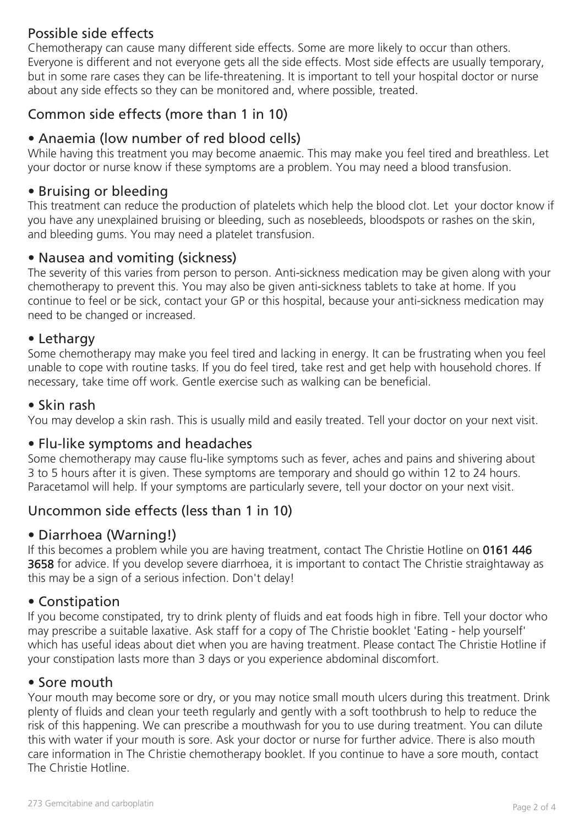# Possible side effects

Chemotherapy can cause many different side effects. Some are more likely to occur than others. Everyone is different and not everyone gets all the side effects. Most side effects are usually temporary, but in some rare cases they can be life-threatening. It is important to tell your hospital doctor or nurse about any side effects so they can be monitored and, where possible, treated.

# Common side effects (more than 1 in 10)

## • Anaemia (low number of red blood cells)

While having this treatment you may become anaemic. This may make you feel tired and breathless. Let your doctor or nurse know if these symptoms are a problem. You may need a blood transfusion.

#### • Bruising or bleeding

This treatment can reduce the production of platelets which help the blood clot. Let your doctor know if you have any unexplained bruising or bleeding, such as nosebleeds, bloodspots or rashes on the skin, and bleeding gums. You may need a platelet transfusion.

#### • Nausea and vomiting (sickness)

The severity of this varies from person to person. Anti-sickness medication may be given along with your chemotherapy to prevent this. You may also be given anti-sickness tablets to take at home. If you continue to feel or be sick, contact your GP or this hospital, because your anti-sickness medication may need to be changed or increased.

#### • Lethargy

Some chemotherapy may make you feel tired and lacking in energy. It can be frustrating when you feel unable to cope with routine tasks. If you do feel tired, take rest and get help with household chores. If necessary, take time off work. Gentle exercise such as walking can be beneficial.

#### • Skin rash

You may develop a skin rash. This is usually mild and easily treated. Tell your doctor on your next visit.

#### • Flu-like symptoms and headaches

Some chemotherapy may cause flu-like symptoms such as fever, aches and pains and shivering about 3 to 5 hours after it is given. These symptoms are temporary and should go within 12 to 24 hours. Paracetamol will help. If your symptoms are particularly severe, tell your doctor on your next visit.

## Uncommon side effects (less than 1 in 10)

#### • Diarrhoea (Warning!)

If this becomes a problem while you are having treatment, contact The Christie Hotline on 0161 446 3658 for advice. If you develop severe diarrhoea, it is important to contact The Christie straightaway as this may be a sign of a serious infection. Don't delay!

#### • Constipation

If you become constipated, try to drink plenty of fluids and eat foods high in fibre. Tell your doctor who may prescribe a suitable laxative. Ask staff for a copy of The Christie booklet 'Eating - help yourself' which has useful ideas about diet when you are having treatment. Please contact The Christie Hotline if your constipation lasts more than 3 days or you experience abdominal discomfort.

#### • Sore mouth

Your mouth may become sore or dry, or you may notice small mouth ulcers during this treatment. Drink plenty of fluids and clean your teeth regularly and gently with a soft toothbrush to help to reduce the risk of this happening. We can prescribe a mouthwash for you to use during treatment. You can dilute this with water if your mouth is sore. Ask your doctor or nurse for further advice. There is also mouth care information in The Christie chemotherapy booklet. If you continue to have a sore mouth, contact The Christie Hotline.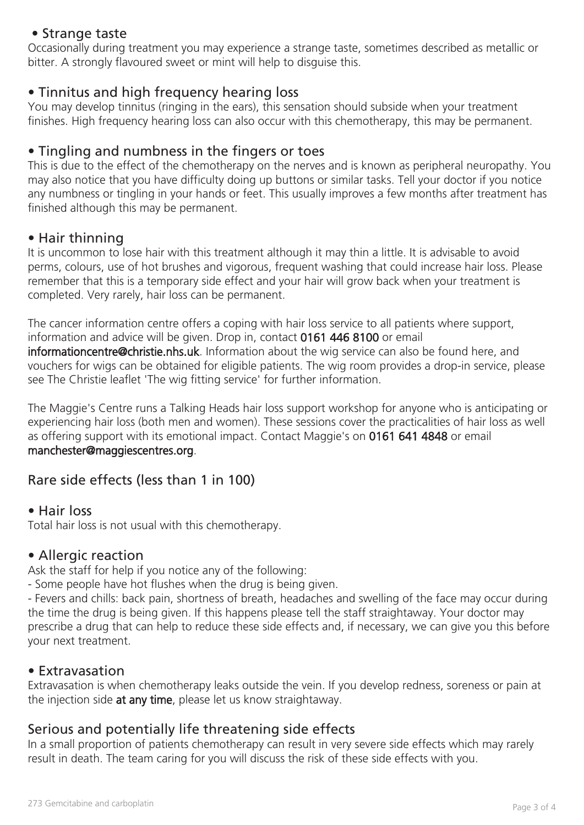#### • Strange taste

Occasionally during treatment you may experience a strange taste, sometimes described as metallic or bitter. A strongly flavoured sweet or mint will help to disguise this.

#### • Tinnitus and high frequency hearing loss

You may develop tinnitus (ringing in the ears), this sensation should subside when your treatment finishes. High frequency hearing loss can also occur with this chemotherapy, this may be permanent.

## • Tingling and numbness in the fingers or toes

This is due to the effect of the chemotherapy on the nerves and is known as peripheral neuropathy. You may also notice that you have difficulty doing up buttons or similar tasks. Tell your doctor if you notice any numbness or tingling in your hands or feet. This usually improves a few months after treatment has finished although this may be permanent.

#### • Hair thinning

It is uncommon to lose hair with this treatment although it may thin a little. It is advisable to avoid perms, colours, use of hot brushes and vigorous, frequent washing that could increase hair loss. Please remember that this is a temporary side effect and your hair will grow back when your treatment is completed. Very rarely, hair loss can be permanent.

The cancer information centre offers a coping with hair loss service to all patients where support, information and advice will be given. Drop in, contact 0161 446 8100 or email informationcentre@christie.nhs.uk. Information about the wig service can also be found here, and vouchers for wigs can be obtained for eligible patients. The wig room provides a drop-in service, please see The Christie leaflet 'The wig fitting service' for further information.

The Maggie's Centre runs a Talking Heads hair loss support workshop for anyone who is anticipating or experiencing hair loss (both men and women). These sessions cover the practicalities of hair loss as well as offering support with its emotional impact. Contact Maggie's on 0161 641 4848 or email manchester@maggiescentres.org.

#### Rare side effects (less than 1 in 100)

#### • Hair loss

Total hair loss is not usual with this chemotherapy.

#### • Allergic reaction

Ask the staff for help if you notice any of the following:

- Some people have hot flushes when the drug is being given.

- Fevers and chills: back pain, shortness of breath, headaches and swelling of the face may occur during the time the drug is being given. If this happens please tell the staff straightaway. Your doctor may prescribe a drug that can help to reduce these side effects and, if necessary, we can give you this before your next treatment.

#### • Extravasation

Extravasation is when chemotherapy leaks outside the vein. If you develop redness, soreness or pain at the injection side at any time, please let us know straightaway.

## Serious and potentially life threatening side effects

In a small proportion of patients chemotherapy can result in very severe side effects which may rarely result in death. The team caring for you will discuss the risk of these side effects with you.